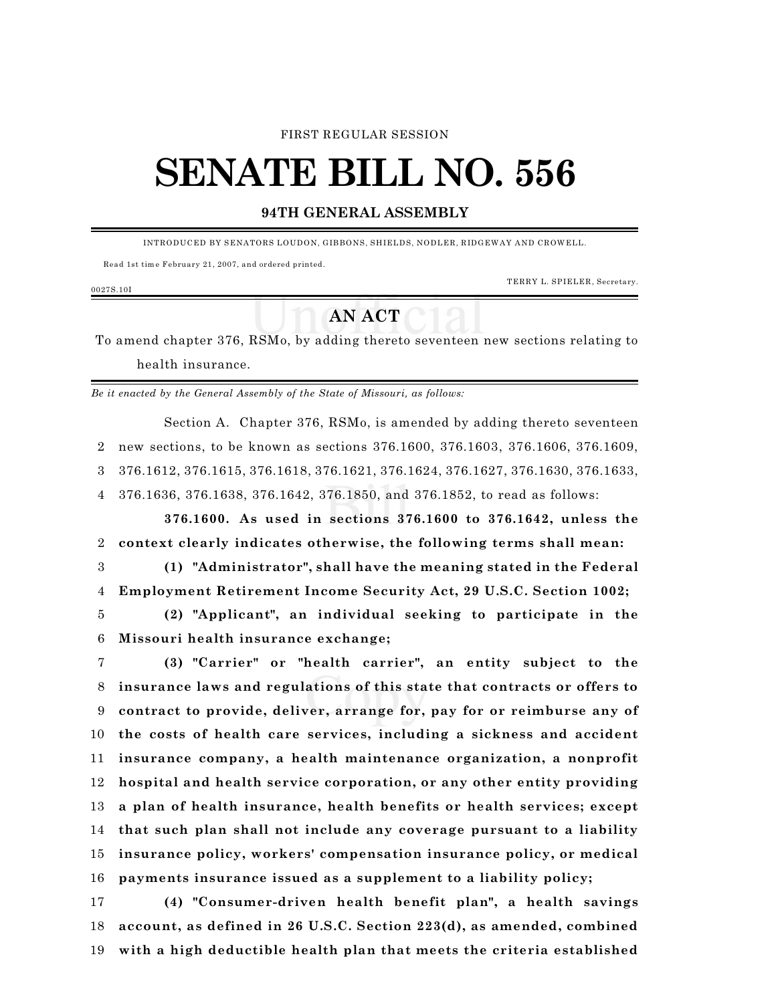#### FIRST REGULAR SESSION

# **SENATE BILL NO. 556**

### **94TH GENERAL ASSEMBLY**

INTRODUCED BY SENATORS LOUDON, GIBBONS, SHIELDS, NODLER, RIDGEWAY AND CROWELL.

Read 1st tim e February 21, 2007, and ordered printed.

TERRY L. SPIELER, Secretary.

## **AN ACT**

 To amend chapter 376, RSMo, by adding thereto seventeen new sections relating to health insurance.

*Be it enacted by the General Assembly of the State of Missouri, as follows:*

Section A. Chapter 376, RSMo, is amended by adding thereto seventeen new sections, to be known as sections 376.1600, 376.1603, 376.1606, 376.1609, 376.1612, 376.1615, 376.1618, 376.1621, 376.1624, 376.1627, 376.1630, 376.1633, 376.1636, 376.1638, 376.1642, 376.1850, and 376.1852, to read as follows:

**376.1600. As used in sections 376.1600 to 376.1642, unless the context clearly indicates otherwise, the following terms shall mean:**

 **(1) "Administrator", shall have the meaning stated in the Federal Employment Retirement Income Security Act, 29 U.S.C. Section 1002;**

 **(2) "Applicant", an individual seeking to participate in the Missouri health insurance exchange;**

 **(3) "Carrier" or "health carrier", an entity subject to the insurance laws and regulations of this state that contracts or offers to contract to provide, deliver, arrange for, pay for or reimburse any of the costs of health care services, including a sickness and accident insurance company, a health maintenance organization, a nonprofit hospital and health service corporation, or any other entity providing a plan of health insurance, health benefits or health services; except that such plan shall not include any coverage pursuant to a liability insurance policy, workers' compensation insurance policy, or medical payments insurance issued as a supplement to a liability policy;**

 **(4) "Consumer-driven health benefit plan", a health savings account, as defined in 26 U.S.C. Section 223(d), as amended, combined with a high deductible health plan that meets the criteria established**

0027S.10I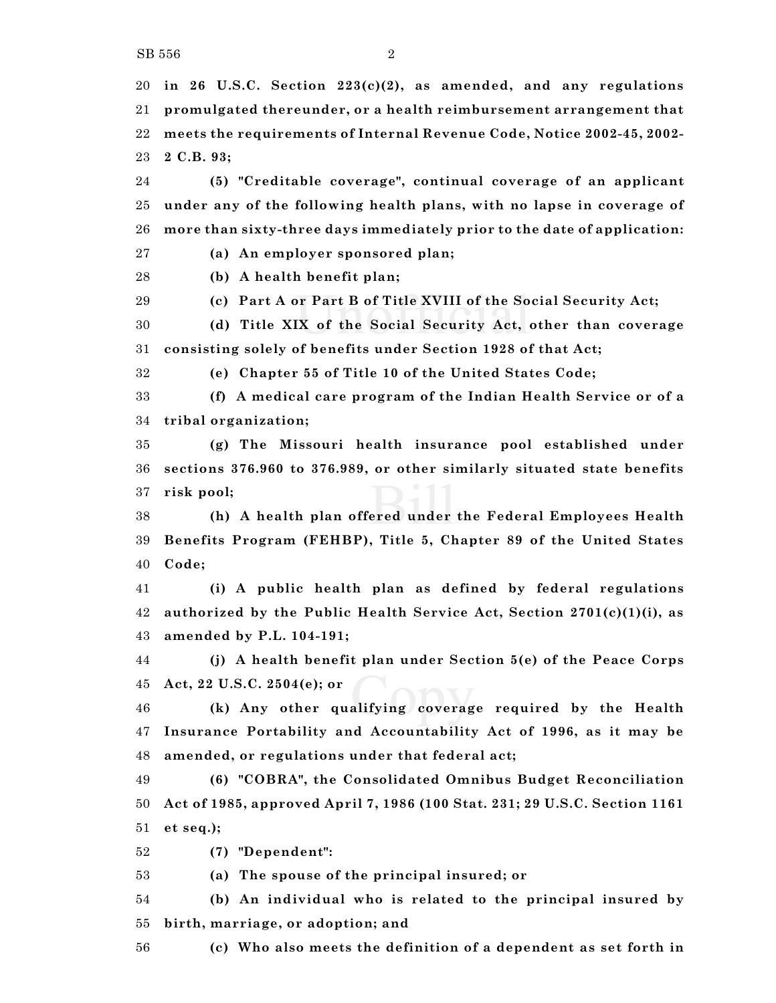**in 26 U.S.C. Section 223(c)(2), as amended, and any regulations promulgated thereunder, or a health reimbursement arrangement that meets the requirements of Internal Revenue Code, Notice 2002-45, 2002- 2 C.B. 93;**

 **(5) "Creditable coverage", continual coverage of an applicant under any of the following health plans, with no lapse in coverage of more than sixty-three days immediately prior to the date of application:**

**(a) An employer sponsored plan;**

**(b) A health benefit plan;**

**(c) Part A or Part B of Title XVIII of the Social Security Act;**

 **(d) Title XIX of the Social Security Act, other than coverage consisting solely of benefits under Section 1928 of that Act;**

**(e) Chapter 55 of Title 10 of the United States Code;**

 **(f) A medical care program of the Indian Health Service or of a tribal organization;**

 **(g) The Missouri health insurance pool established under sections 376.960 to 376.989, or other similarly situated state benefits risk pool;**

 **(h) A health plan offered under the Federal Employees Health Benefits Program (FEHBP), Title 5, Chapter 89 of the United States Code;**

 **(i) A public health plan as defined by federal regulations authorized by the Public Health Service Act, Section 2701(c)(1)(i), as amended by P.L. 104-191;**

 **(j) A health benefit plan under Section 5(e) of the Peace Corps Act, 22 U.S.C. 2504(e); or**

 **(k) Any other qualifying coverage required by the Health Insurance Portability and Accountability Act of 1996, as it may be amended, or regulations under that federal act;**

 **(6) "COBRA", the Consolidated Omnibus Budget Reconciliation Act of 1985, approved April 7, 1986 (100 Stat. 231; 29 U.S.C. Section 1161 et seq.);**

**(7) "Dependent":**

**(a) The spouse of the principal insured; or**

 **(b) An individual who is related to the principal insured by birth, marriage, or adoption; and**

**(c) Who also meets the definition of a dependent as set forth in**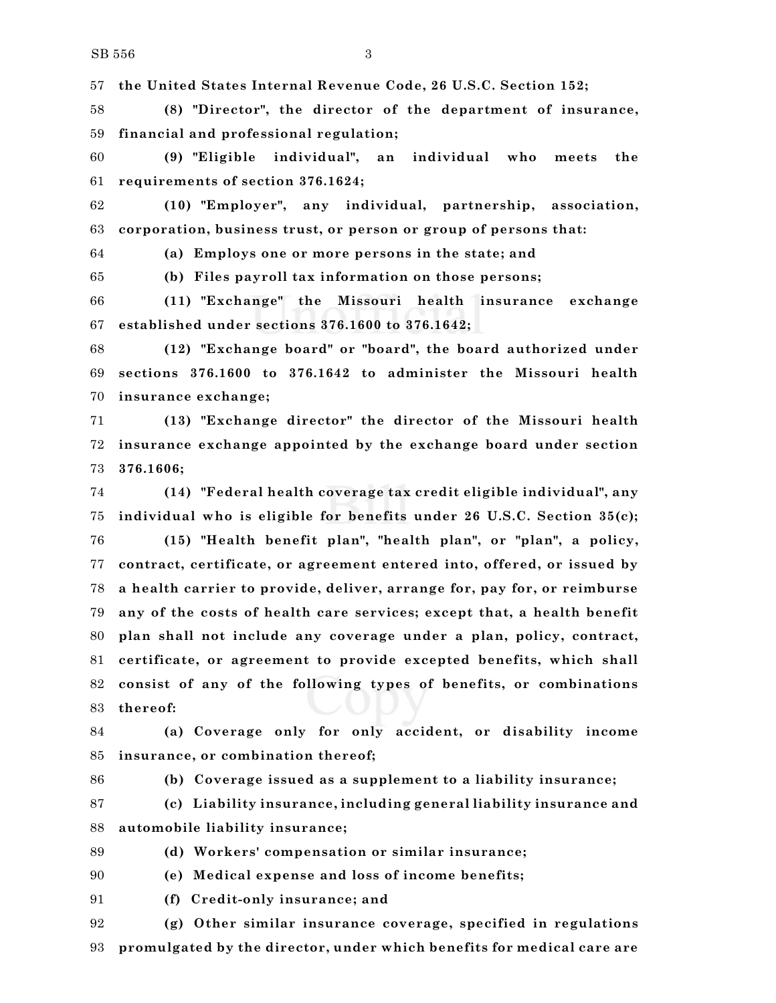**the United States Internal Revenue Code, 26 U.S.C. Section 152;**

 **(8) "Director", the director of the department of insurance, financial and professional regulation;**

 **(9) "Eligible individual", an individual who meets the requirements of section 376.1624;**

 **(10) "Employer", any individual, partnership, association, corporation, business trust, or person or group of persons that:**

**(a) Employs one or more persons in the state; and**

**(b) Files payroll tax information on those persons;**

 **(11) "Exchange" the Missouri health insurance exchange established under sections 376.1600 to 376.1642;**

 **(12) "Exchange board" or "board", the board authorized under sections 376.1600 to 376.1642 to administer the Missouri health insurance exchange;**

 **(13) "Exchange director" the director of the Missouri health insurance exchange appointed by the exchange board under section 376.1606;**

 **(14) "Federal health coverage tax credit eligible individual", any individual who is eligible for benefits under 26 U.S.C. Section 35(c); (15) "Health benefit plan", "health plan", or "plan", a policy, contract, certificate, or agreement entered into, offered, or issued by a health carrier to provide, deliver, arrange for, pay for, or reimburse any of the costs of health care services; except that, a health benefit plan shall not include any coverage under a plan, policy, contract, certificate, or agreement to provide excepted benefits, which shall consist of any of the following types of benefits, or combinations thereof:**

 **(a) Coverage only for only accident, or disability income insurance, or combination thereof;**

**(b) Coverage issued as a supplement to a liability insurance;**

 **(c) Liability insurance, including general liability insurance and automobile liability insurance;**

**(d) Workers' compensation or similar insurance;**

**(e) Medical expense and loss of income benefits;**

**(f) Credit-only insurance; and**

 **(g) Other similar insurance coverage, specified in regulations promulgated by the director, under which benefits for medical care are**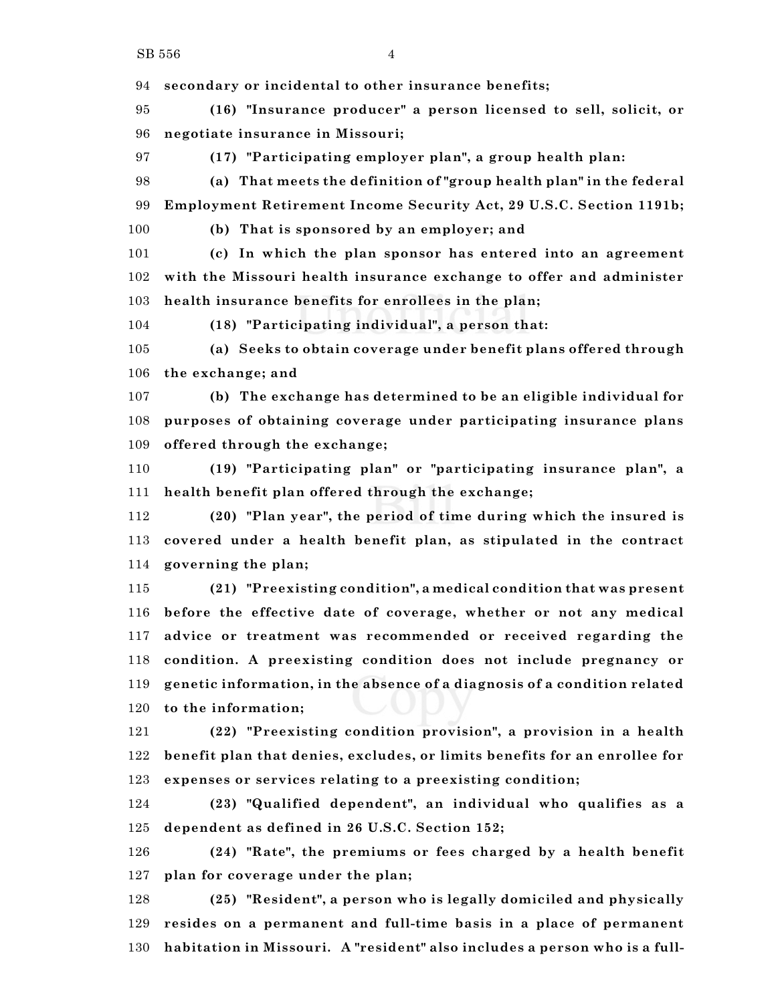**secondary or incidental to other insurance benefits;**

 **(16) "Insurance producer" a person licensed to sell, solicit, or negotiate insurance in Missouri;**

**(17) "Participating employer plan", a group health plan:**

 **(a) That meets the definition of "group health plan" in the federal Employment Retirement Income Security Act, 29 U.S.C. Section 1191b;**

**(b) That is sponsored by an employer; and**

 **(c) In which the plan sponsor has entered into an agreement with the Missouri health insurance exchange to offer and administer health insurance benefits for enrollees in the plan;**

**(18) "Participating individual", a person that:**

 **(a) Seeks to obtain coverage under benefit plans offered through the exchange; and**

 **(b) The exchange has determined to be an eligible individual for purposes of obtaining coverage under participating insurance plans offered through the exchange;**

 **(19) "Participating plan" or "participating insurance plan", a health benefit plan offered through the exchange;**

 **(20) "Plan year", the period of time during which the insured is covered under a health benefit plan, as stipulated in the contract governing the plan;**

 **(21) "Preexisting condition", a medical condition that was present before the effective date of coverage, whether or not any medical advice or treatment was recommended or received regarding the condition. A preexisting condition does not include pregnancy or genetic information, in the absence of a diagnosis of a condition related to the information;**

 **(22) "Preexisting condition provision", a provision in a health benefit plan that denies, excludes, or limits benefits for an enrollee for expenses or services relating to a preexisting condition;**

 **(23) "Qualified dependent", an individual who qualifies as a dependent as defined in 26 U.S.C. Section 152;**

 **(24) "Rate", the premiums or fees charged by a health benefit plan for coverage under the plan;**

 **(25) "Resident", a person who is legally domiciled and physically resides on a permanent and full-time basis in a place of permanent habitation in Missouri. A "resident" also includes a person who is a full-**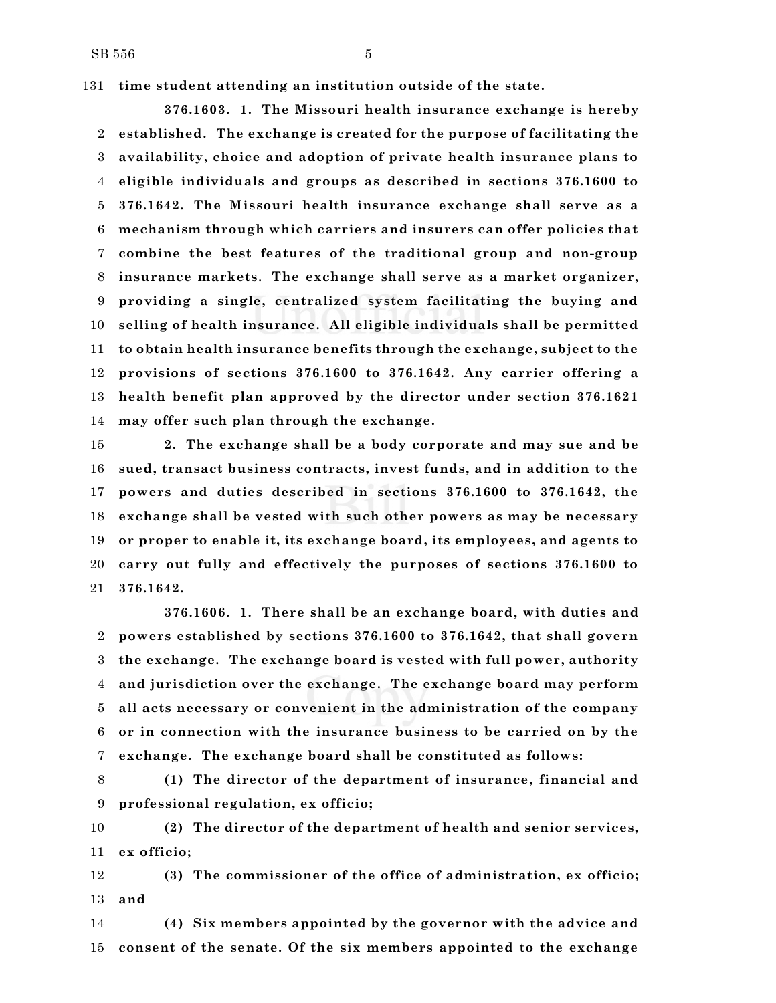$SB 556$   $5$ 

**time student attending an institution outside of the state.**

**376.1603. 1. The Missouri health insurance exchange is hereby established. The exchange is created for the purpose of facilitating the availability, choice and adoption of private health insurance plans to eligible individuals and groups as described in sections 376.1600 to 376.1642. The Missouri health insurance exchange shall serve as a mechanism through which carriers and insurers can offer policies that combine the best features of the traditional group and non-group insurance markets. The exchange shall serve as a market organizer, providing a single, centralized system facilitating the buying and selling of health insurance. All eligible individuals shall be permitted to obtain health insurance benefits through the exchange, subject to the provisions of sections 376.1600 to 376.1642. Any carrier offering a health benefit plan approved by the director under section 376.1621 may offer such plan through the exchange.**

 **2. The exchange shall be a body corporate and may sue and be sued, transact business contracts, invest funds, and in addition to the powers and duties described in sections 376.1600 to 376.1642, the exchange shall be vested with such other powers as may be necessary or proper to enable it, its exchange board, its employees, and agents to carry out fully and effectively the purposes of sections 376.1600 to 376.1642.**

**376.1606. 1. There shall be an exchange board, with duties and powers established by sections 376.1600 to 376.1642, that shall govern the exchange. The exchange board is vested with full power, authority and jurisdiction over the exchange. The exchange board may perform all acts necessary or convenient in the administration of the company or in connection with the insurance business to be carried on by the exchange. The exchange board shall be constituted as follows:**

 **(1) The director of the department of insurance, financial and professional regulation, ex officio;**

 **(2) The director of the department of health and senior services, ex officio;**

 **(3) The commissioner of the office of administration, ex officio; and**

 **(4) Six members appointed by the governor with the advice and consent of the senate. Of the six members appointed to the exchange**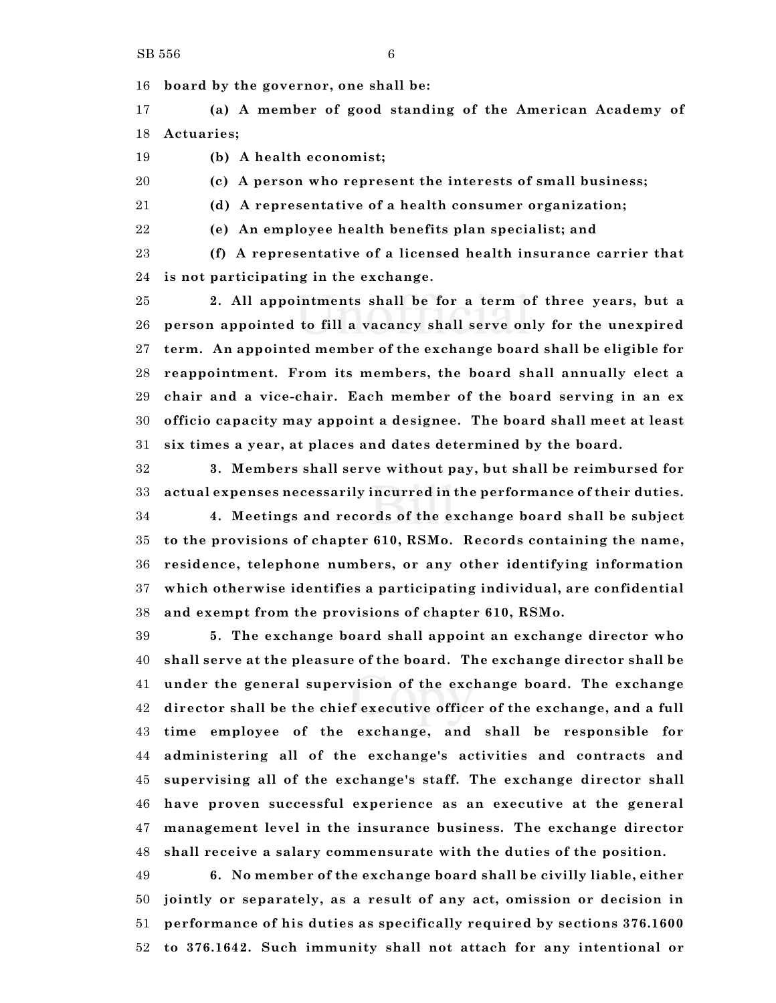**board by the governor, one shall be:**

 **(a) A member of good standing of the American Academy of Actuaries;**

**(b) A health economist;**

**(c) A person who represent the interests of small business;**

**(d) A representative of a health consumer organization;**

**(e) An employee health benefits plan specialist; and**

 **(f) A representative of a licensed health insurance carrier that is not participating in the exchange.**

 **2. All appointments shall be for a term of three years, but a person appointed to fill a vacancy shall serve only for the unexpired term. An appointed member of the exchange board shall be eligible for reappointment. From its members, the board shall annually elect a chair and a vice-chair. Each member of the board serving in an ex officio capacity may appoint a designee. The board shall meet at least six times a year, at places and dates determined by the board.**

 **3. Members shall serve without pay, but shall be reimbursed for actual expenses necessarily incurred in the performance of their duties.**

 **4. Meetings and records of the exchange board shall be subject to the provisions of chapter 610, RSMo. Records containing the name, residence, telephone numbers, or any other identifying information which otherwise identifies a participating individual, are confidential and exempt from the provisions of chapter 610, RSMo.**

 **5. The exchange board shall appoint an exchange director who shall serve at the pleasure of the board. The exchange director shall be under the general supervision of the exchange board. The exchange director shall be the chief executive officer of the exchange, and a full time employee of the exchange, and shall be responsible for administering all of the exchange's activities and contracts and supervising all of the exchange's staff. The exchange director shall have proven successful experience as an executive at the general management level in the insurance business. The exchange director shall receive a salary commensurate with the duties of the position.**

 **6. No member of the exchange board shall be civilly liable, either jointly or separately, as a result of any act, omission or decision in performance of his duties as specifically required by sections 376.1600 to 376.1642. Such immunity shall not attach for any intentional or**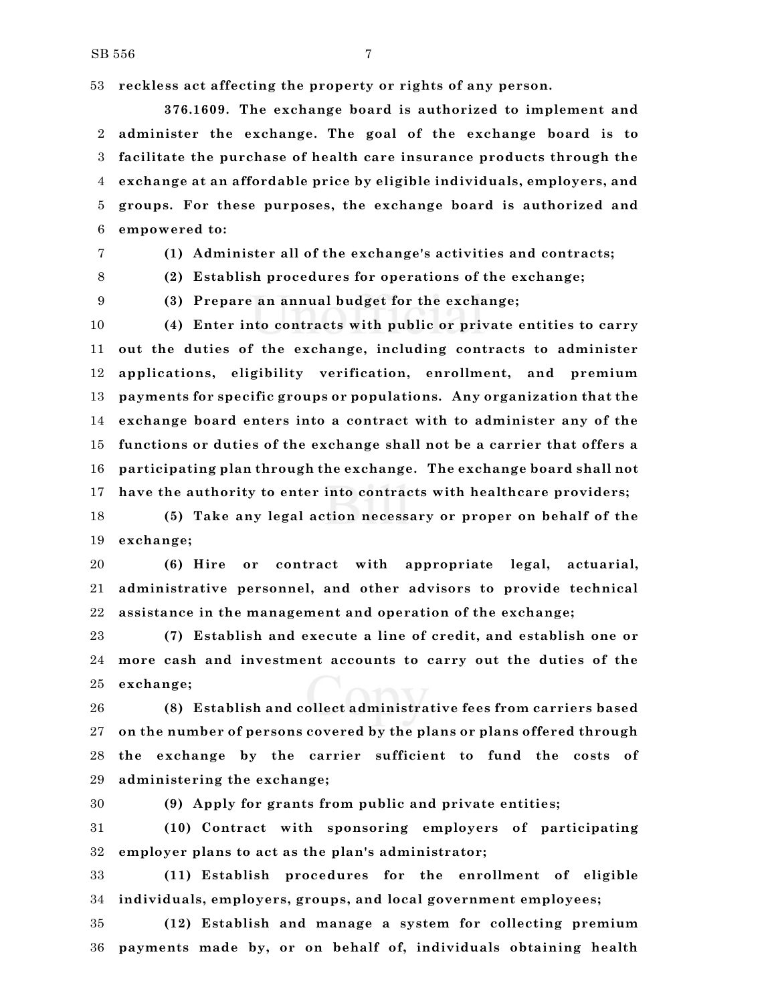**reckless act affecting the property or rights of any person.**

**376.1609. The exchange board is authorized to implement and administer the exchange. The goal of the exchange board is to facilitate the purchase of health care insurance products through the exchange at an affordable price by eligible individuals, employers, and groups. For these purposes, the exchange board is authorized and empowered to:**

**(1) Administer all of the exchange's activities and contracts;**

 **(2) Establish procedures for operations of the exchange; (3) Prepare an annual budget for the exchange;**

 **(4) Enter into contracts with public or private entities to carry out the duties of the exchange, including contracts to administer applications, eligibility verification, enrollment, and premium payments for specific groups or populations. Any organization that the exchange board enters into a contract with to administer any of the functions or duties of the exchange shall not be a carrier that offers a participating plan through the exchange. The exchange board shall not have the authority to enter into contracts with healthcare providers;**

 **(5) Take any legal action necessary or proper on behalf of the exchange;**

 **(6) Hire or contract with appropriate legal, actuarial, administrative personnel, and other advisors to provide technical assistance in the management and operation of the exchange;**

 **(7) Establish and execute a line of credit, and establish one or more cash and investment accounts to carry out the duties of the exchange;**

 **(8) Establish and collect administrative fees from carriers based on the number of persons covered by the plans or plans offered through the exchange by the carrier sufficient to fund the costs of administering the exchange;**

**(9) Apply for grants from public and private entities;**

 **(10) Contract with sponsoring employers of participating employer plans to act as the plan's administrator;**

 **(11) Establish procedures for the enrollment of eligible individuals, employers, groups, and local government employees;**

 **(12) Establish and manage a system for collecting premium payments made by, or on behalf of, individuals obtaining health**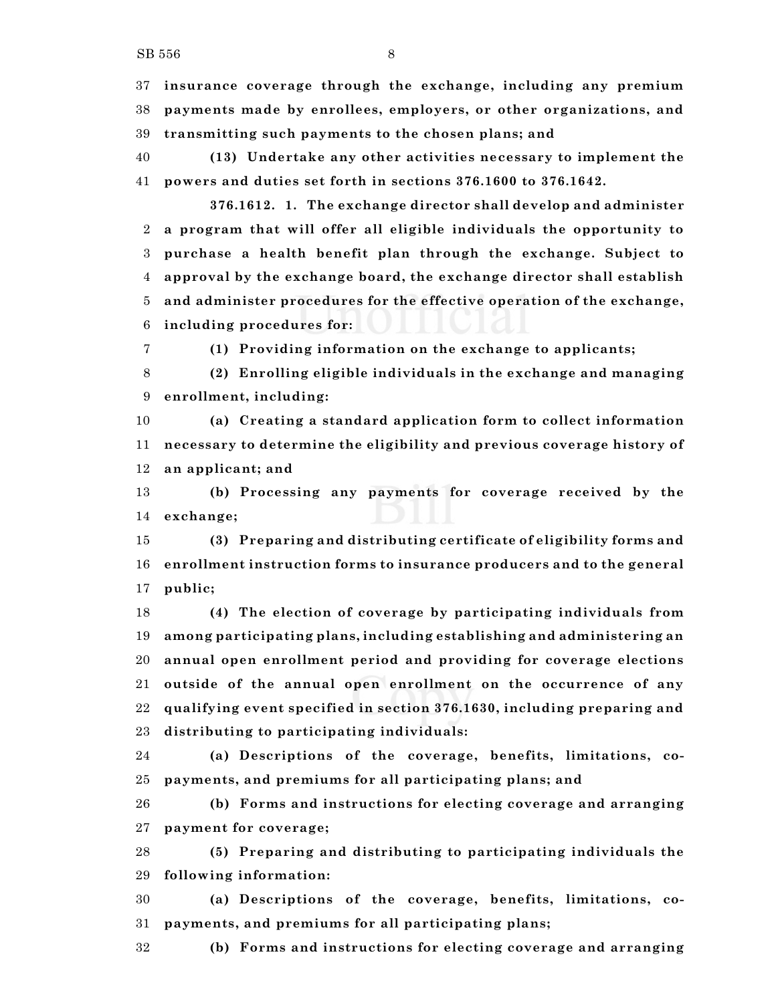**insurance coverage through the exchange, including any premium payments made by enrollees, employers, or other organizations, and transmitting such payments to the chosen plans; and**

 **(13) Undertake any other activities necessary to implement the powers and duties set forth in sections 376.1600 to 376.1642.**

**376.1612. 1. The exchange director shall develop and administer a program that will offer all eligible individuals the opportunity to purchase a health benefit plan through the exchange. Subject to approval by the exchange board, the exchange director shall establish and administer procedures for the effective operation of the exchange, including procedures for:**

**(1) Providing information on the exchange to applicants;**

 **(2) Enrolling eligible individuals in the exchange and managing enrollment, including:**

 **(a) Creating a standard application form to collect information necessary to determine the eligibility and previous coverage history of an applicant; and**

 **(b) Processing any payments for coverage received by the exchange;**

 **(3) Preparing and distributing certificate of eligibility forms and enrollment instruction forms to insurance producers and to the general public;**

 **(4) The election of coverage by participating individuals from among participating plans, including establishing and administering an annual open enrollment period and providing for coverage elections outside of the annual open enrollment on the occurrence of any qualifying event specified in section 376.1630, including preparing and distributing to participating individuals:**

 **(a) Descriptions of the coverage, benefits, limitations, co-payments, and premiums for all participating plans; and**

 **(b) Forms and instructions for electing coverage and arranging payment for coverage;**

 **(5) Preparing and distributing to participating individuals the following information:**

 **(a) Descriptions of the coverage, benefits, limitations, co-payments, and premiums for all participating plans;**

**(b) Forms and instructions for electing coverage and arranging**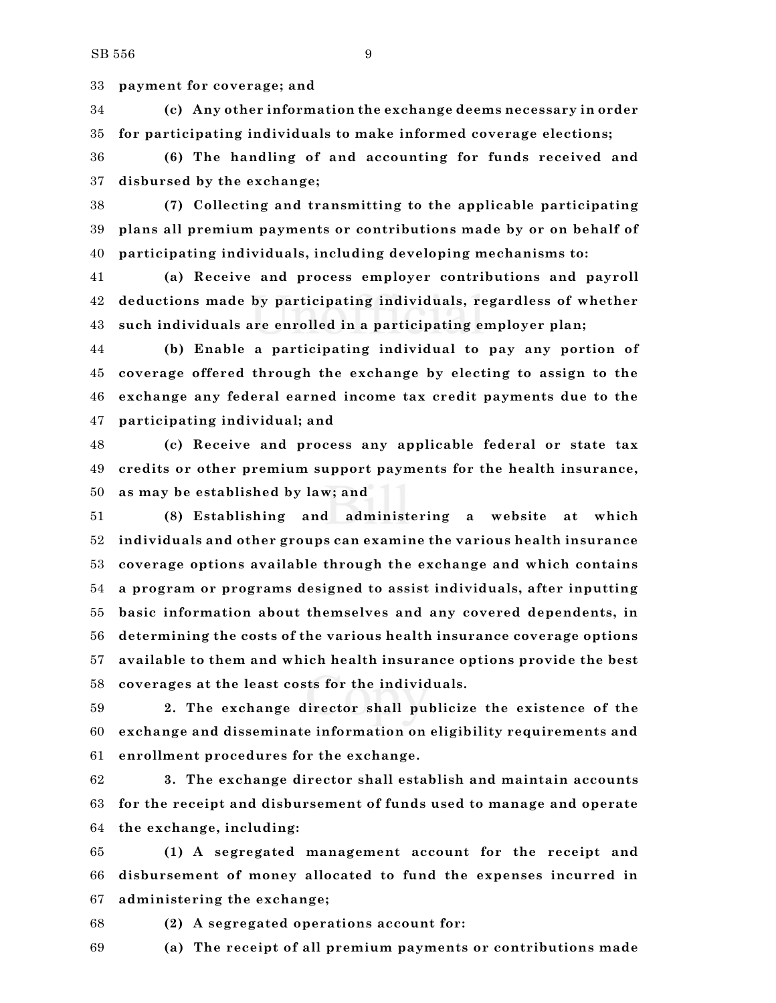**payment for coverage; and**

 **(c) Any other information the exchange deems necessary in order for participating individuals to make informed coverage elections;**

 **(6) The handling of and accounting for funds received and disbursed by the exchange;**

 **(7) Collecting and transmitting to the applicable participating plans all premium payments or contributions made by or on behalf of participating individuals, including developing mechanisms to:**

 **(a) Receive and process employer contributions and payroll deductions made by participating individuals, regardless of whether such individuals are enrolled in a participating employer plan;**

 **(b) Enable a participating individual to pay any portion of coverage offered through the exchange by electing to assign to the exchange any federal earned income tax credit payments due to the participating individual; and**

 **(c) Receive and process any applicable federal or state tax credits or other premium support payments for the health insurance, as may be established by law; and**

 **(8) Establishing and administering a website at which individuals and other groups can examine the various health insurance coverage options available through the exchange and which contains a program or programs designed to assist individuals, after inputting basic information about themselves and any covered dependents, in determining the costs of the various health insurance coverage options available to them and which health insurance options provide the best coverages at the least costs for the individuals.**

 **2. The exchange director shall publicize the existence of the exchange and disseminate information on eligibility requirements and enrollment procedures for the exchange.**

 **3. The exchange director shall establish and maintain accounts for the receipt and disbursement of funds used to manage and operate the exchange, including:**

 **(1) A segregated management account for the receipt and disbursement of money allocated to fund the expenses incurred in administering the exchange;**

**(2) A segregated operations account for:**

**(a) The receipt of all premium payments or contributions made**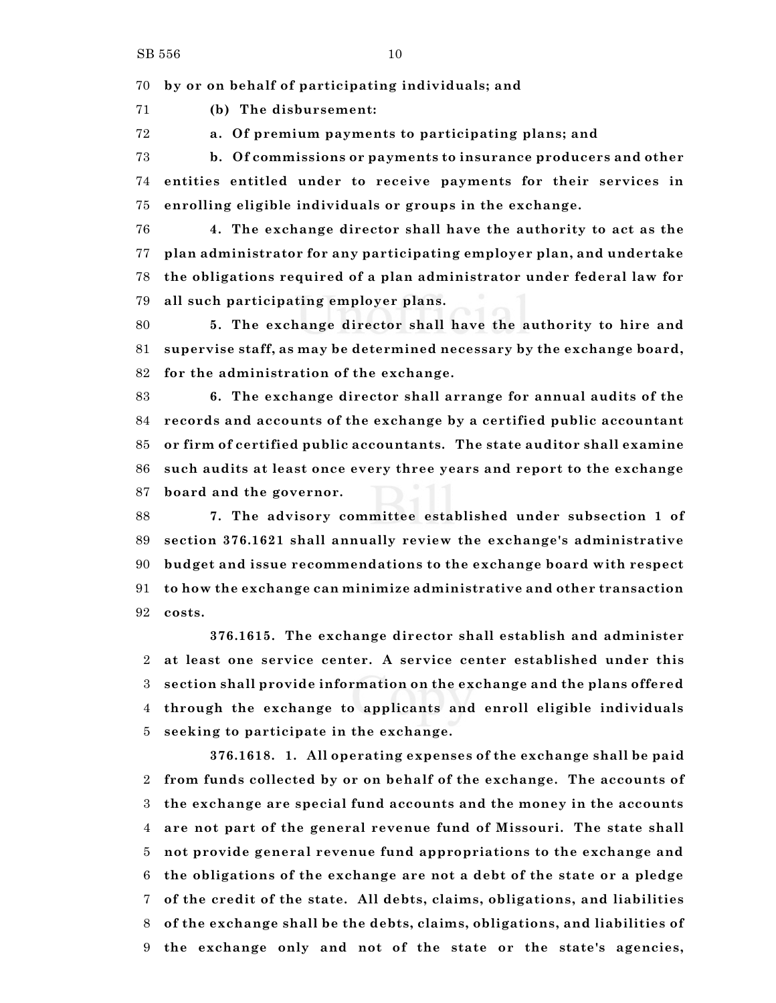**by or on behalf of participating individuals; and**

**(b) The disbursement:**

**a. Of premium payments to participating plans; and**

 **b. Of commissions or payments to insurance producers and other entities entitled under to receive payments for their services in enrolling eligible individuals or groups in the exchange.**

 **4. The exchange director shall have the authority to act as the plan administrator for any participating employer plan, and undertake the obligations required of a plan administrator under federal law for all such participating employer plans.**

 **5. The exchange director shall have the authority to hire and supervise staff, as may be determined necessary by the exchange board, for the administration of the exchange.**

 **6. The exchange director shall arrange for annual audits of the records and accounts of the exchange by a certified public accountant or firm of certified public accountants. The state auditor shall examine such audits at least once every three years and report to the exchange board and the governor.**

 **7. The advisory committee established under subsection 1 of section 376.1621 shall annually review the exchange's administrative budget and issue recommendations to the exchange board with respect to how the exchange can minimize administrative and other transaction costs.**

**376.1615. The exchange director shall establish and administer at least one service center. A service center established under this section shall provide information on the exchange and the plans offered through the exchange to applicants and enroll eligible individuals seeking to participate in the exchange.**

**376.1618. 1. All operating expenses of the exchange shall be paid from funds collected by or on behalf of the exchange. The accounts of the exchange are special fund accounts and the money in the accounts are not part of the general revenue fund of Missouri. The state shall not provide general revenue fund appropriations to the exchange and the obligations of the exchange are not a debt of the state or a pledge of the credit of the state. All debts, claims, obligations, and liabilities of the exchange shall be the debts, claims, obligations, and liabilities of the exchange only and not of the state or the state's agencies,**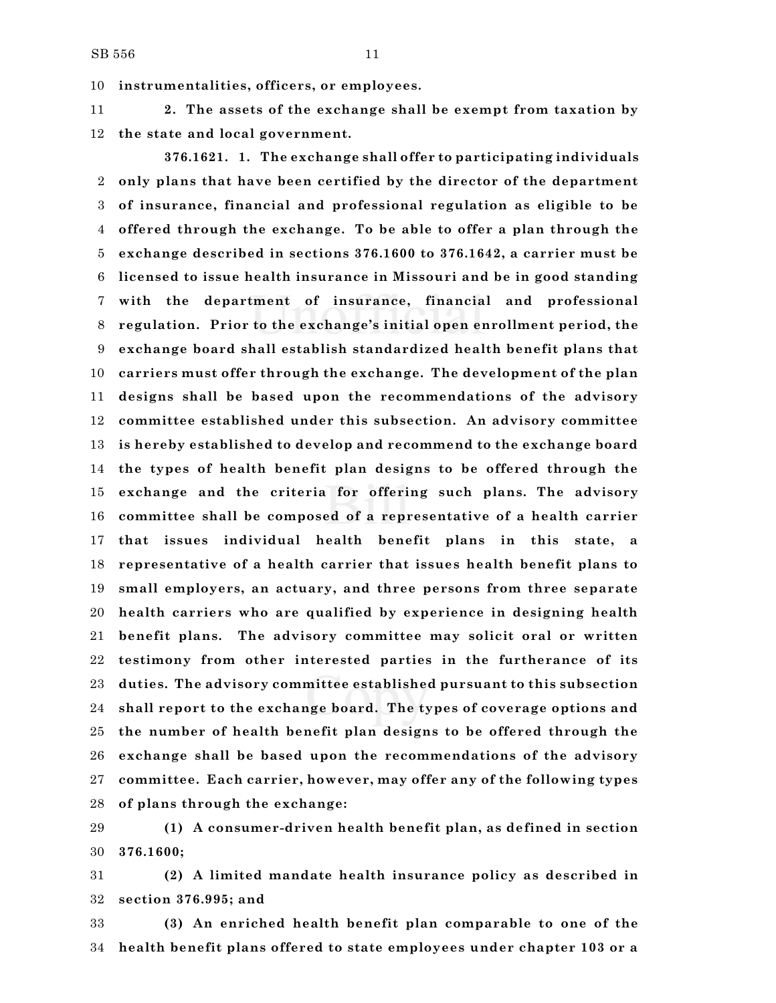**instrumentalities, officers, or employees.**

 **2. The assets of the exchange shall be exempt from taxation by the state and local government.**

**376.1621. 1. The exchange shall offer to participating individuals only plans that have been certified by the director of the department of insurance, financial and professional regulation as eligible to be offered through the exchange. To be able to offer a plan through the exchange described in sections 376.1600 to 376.1642, a carrier must be licensed to issue health insurance in Missouri and be in good standing with the department of insurance, financial and professional regulation. Prior to the exchange's initial open enrollment period, the exchange board shall establish standardized health benefit plans that carriers must offer through the exchange. The development of the plan designs shall be based upon the recommendations of the advisory committee established under this subsection. An advisory committee is hereby established to develop and recommend to the exchange board the types of health benefit plan designs to be offered through the exchange and the criteria for offering such plans. The advisory committee shall be composed of a representative of a health carrier that issues individual health benefit plans in this state, a representative of a health carrier that issues health benefit plans to small employers, an actuary, and three persons from three separate health carriers who are qualified by experience in designing health benefit plans. The advisory committee may solicit oral or written testimony from other interested parties in the furtherance of its duties. The advisory committee established pursuant to this subsection shall report to the exchange board. The types of coverage options and the number of health benefit plan designs to be offered through the exchange shall be based upon the recommendations of the advisory committee. Each carrier, however, may offer any of the following types of plans through the exchange:**

 **(1) A consumer-driven health benefit plan, as defined in section 376.1600;**

 **(2) A limited mandate health insurance policy as described in section 376.995; and**

 **(3) An enriched health benefit plan comparable to one of the health benefit plans offered to state employees under chapter 103 or a**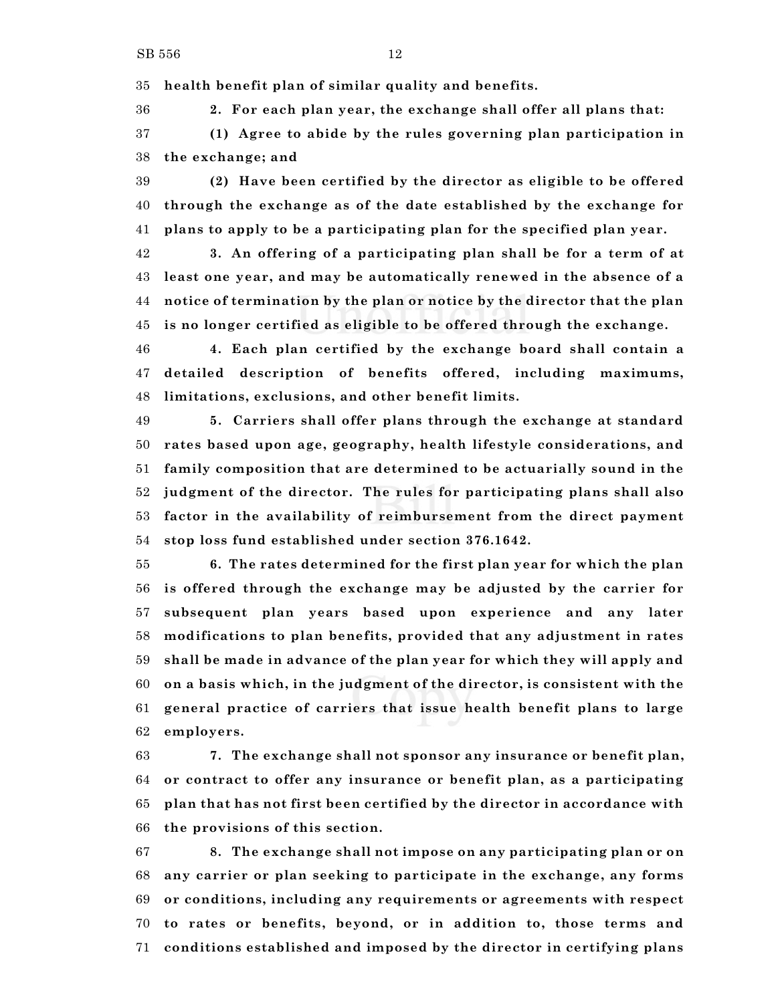**health benefit plan of similar quality and benefits.**

 **2. For each plan year, the exchange shall offer all plans that: (1) Agree to abide by the rules governing plan participation in the exchange; and**

 **(2) Have been certified by the director as eligible to be offered through the exchange as of the date established by the exchange for plans to apply to be a participating plan for the specified plan year.**

 **3. An offering of a participating plan shall be for a term of at least one year, and may be automatically renewed in the absence of a notice of termination by the plan or notice by the director that the plan is no longer certified as eligible to be offered through the exchange.**

 **4. Each plan certified by the exchange board shall contain a detailed description of benefits offered, including maximums, limitations, exclusions, and other benefit limits.**

 **5. Carriers shall offer plans through the exchange at standard rates based upon age, geography, health lifestyle considerations, and family composition that are determined to be actuarially sound in the judgment of the director. The rules for participating plans shall also factor in the availability of reimbursement from the direct payment stop loss fund established under section 376.1642.**

 **6. The rates determined for the first plan year for which the plan is offered through the exchange may be adjusted by the carrier for subsequent plan years based upon experience and any later modifications to plan benefits, provided that any adjustment in rates shall be made in advance of the plan year for which they will apply and on a basis which, in the judgment of the director, is consistent with the general practice of carriers that issue health benefit plans to large employers.**

 **7. The exchange shall not sponsor any insurance or benefit plan, or contract to offer any insurance or benefit plan, as a participating plan that has not first been certified by the director in accordance with the provisions of this section.**

 **8. The exchange shall not impose on any participating plan or on any carrier or plan seeking to participate in the exchange, any forms or conditions, including any requirements or agreements with respect to rates or benefits, beyond, or in addition to, those terms and conditions established and imposed by the director in certifying plans**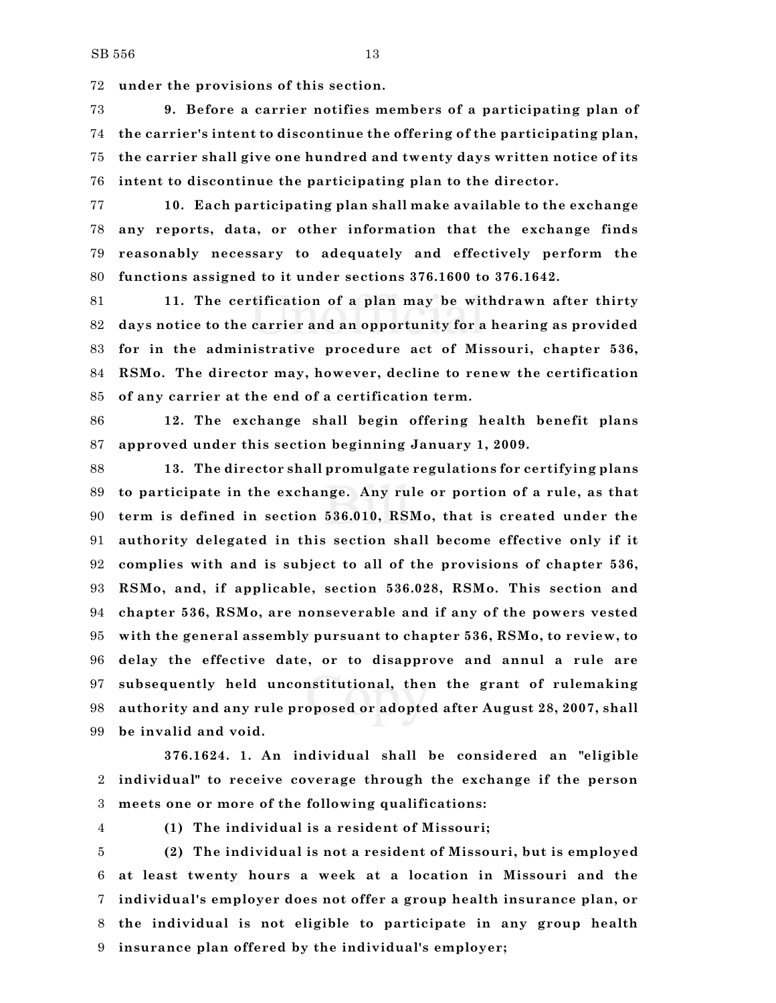**under the provisions of this section.**

 **9. Before a carrier notifies members of a participating plan of the carrier's intent to discontinue the offering of the participating plan, the carrier shall give one hundred and twenty days written notice of its intent to discontinue the participating plan to the director.**

 **10. Each participating plan shall make available to the exchange any reports, data, or other information that the exchange finds reasonably necessary to adequately and effectively perform the functions assigned to it under sections 376.1600 to 376.1642.**

 **11. The certification of a plan may be withdrawn after thirty days notice to the carrier and an opportunity for a hearing as provided for in the administrative procedure act of Missouri, chapter 536, RSMo. The director may, however, decline to renew the certification of any carrier at the end of a certification term.**

 **12. The exchange shall begin offering health benefit plans approved under this section beginning January 1, 2009.**

 **13. The director shall promulgate regulations for certifying plans to participate in the exchange. Any rule or portion of a rule, as that term is defined in section 536.010, RSMo, that is created under the authority delegated in this section shall become effective only if it complies with and is subject to all of the provisions of chapter 536, RSMo, and, if applicable, section 536.028, RSMo. This section and chapter 536, RSMo, are nonseverable and if any of the powers vested with the general assembly pursuant to chapter 536, RSMo, to review, to delay the effective date, or to disapprove and annul a rule are subsequently held unconstitutional, then the grant of rulemaking authority and any rule proposed or adopted after August 28, 2007, shall be invalid and void.**

**376.1624. 1. An individual shall be considered an "eligible individual" to receive coverage through the exchange if the person meets one or more of the following qualifications:**

- 
- **(1) The individual is a resident of Missouri;**

 **(2) The individual is not a resident of Missouri, but is employed at least twenty hours a week at a location in Missouri and the individual's employer does not offer a group health insurance plan, or the individual is not eligible to participate in any group health insurance plan offered by the individual's employer;**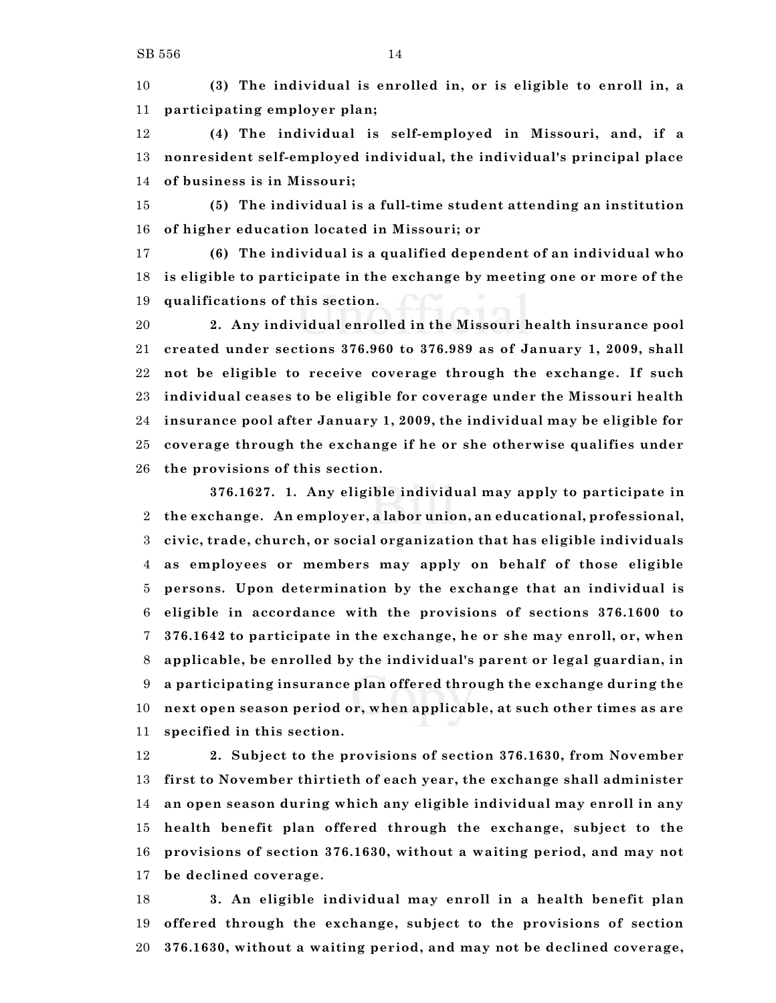**(3) The individual is enrolled in, or is eligible to enroll in, a participating employer plan;**

 **(4) The individual is self-employed in Missouri, and, if a nonresident self-employed individual, the individual's principal place of business is in Missouri;**

 **(5) The individual is a full-time student attending an institution of higher education located in Missouri; or**

 **(6) The individual is a qualified dependent of an individual who is eligible to participate in the exchange by meeting one or more of the qualifications of this section.**

 **2. Any individual enrolled in the Missouri health insurance pool created under sections 376.960 to 376.989 as of January 1, 2009, shall not be eligible to receive coverage through the exchange. If such individual ceases to be eligible for coverage under the Missouri health insurance pool after January 1, 2009, the individual may be eligible for coverage through the exchange if he or she otherwise qualifies under the provisions of this section.**

**376.1627. 1. Any eligible individual may apply to participate in the exchange. An employer, a labor union, an educational, professional, civic, trade, church, or social organization that has eligible individuals as employees or members may apply on behalf of those eligible persons. Upon determination by the exchange that an individual is eligible in accordance with the provisions of sections 376.1600 to 376.1642 to participate in the exchange, he or she may enroll, or, when applicable, be enrolled by the individual's parent or legal guardian, in a participating insurance plan offered through the exchange during the next open season period or, when applicable, at such other times as are specified in this section.**

 **2. Subject to the provisions of section 376.1630, from November first to November thirtieth of each year, the exchange shall administer an open season during which any eligible individual may enroll in any health benefit plan offered through the exchange, subject to the provisions of section 376.1630, without a waiting period, and may not be declined coverage.**

 **3. An eligible individual may enroll in a health benefit plan offered through the exchange, subject to the provisions of section 376.1630, without a waiting period, and may not be declined coverage,**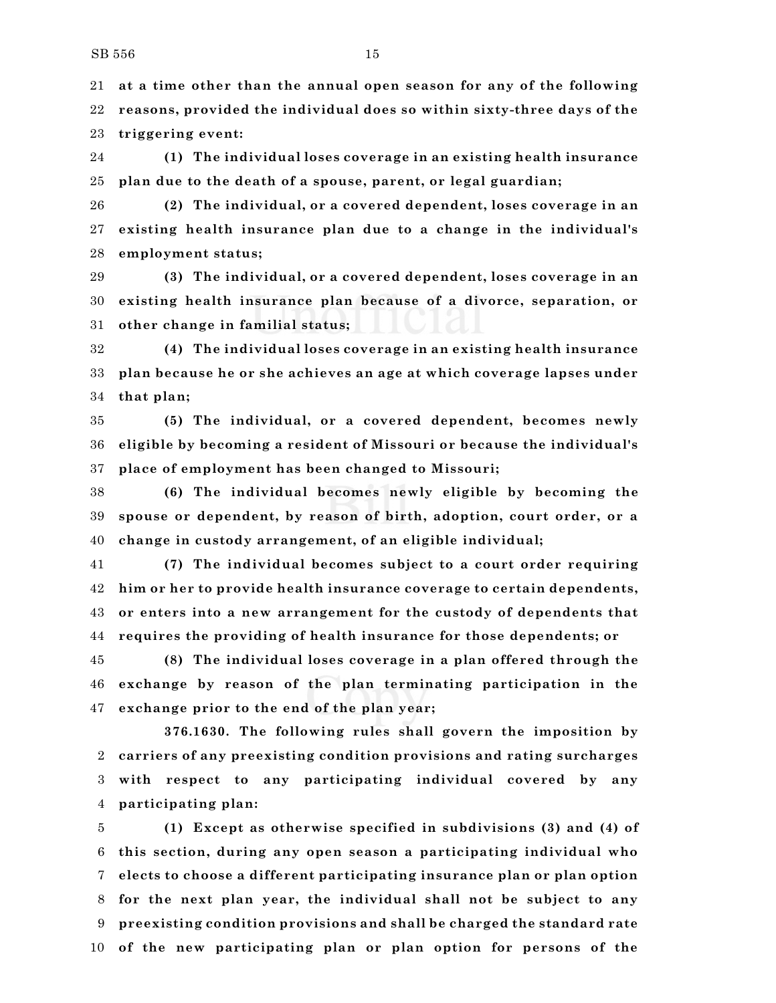**at a time other than the annual open season for any of the following reasons, provided the individual does so within sixty-three days of the triggering event:**

 **(1) The individual loses coverage in an existing health insurance plan due to the death of a spouse, parent, or legal guardian;**

 **(2) The individual, or a covered dependent, loses coverage in an existing health insurance plan due to a change in the individual's employment status;**

 **(3) The individual, or a covered dependent, loses coverage in an existing health insurance plan because of a divorce, separation, or other change in familial status;**

 **(4) The individual loses coverage in an existing health insurance plan because he or she achieves an age at which coverage lapses under that plan;**

 **(5) The individual, or a covered dependent, becomes newly eligible by becoming a resident of Missouri or because the individual's place of employment has been changed to Missouri;**

 **(6) The individual becomes newly eligible by becoming the spouse or dependent, by reason of birth, adoption, court order, or a change in custody arrangement, of an eligible individual;**

 **(7) The individual becomes subject to a court order requiring him or her to provide health insurance coverage to certain dependents, or enters into a new arrangement for the custody of dependents that requires the providing of health insurance for those dependents; or**

 **(8) The individual loses coverage in a plan offered through the exchange by reason of the plan terminating participation in the exchange prior to the end of the plan year;**

**376.1630. The following rules shall govern the imposition by carriers of any preexisting condition provisions and rating surcharges with respect to any participating individual covered by any participating plan:**

 **(1) Except as otherwise specified in subdivisions (3) and (4) of this section, during any open season a participating individual who elects to choose a different participating insurance plan or plan option for the next plan year, the individual shall not be subject to any preexisting condition provisions and shall be charged the standard rate of the new participating plan or plan option for persons of the**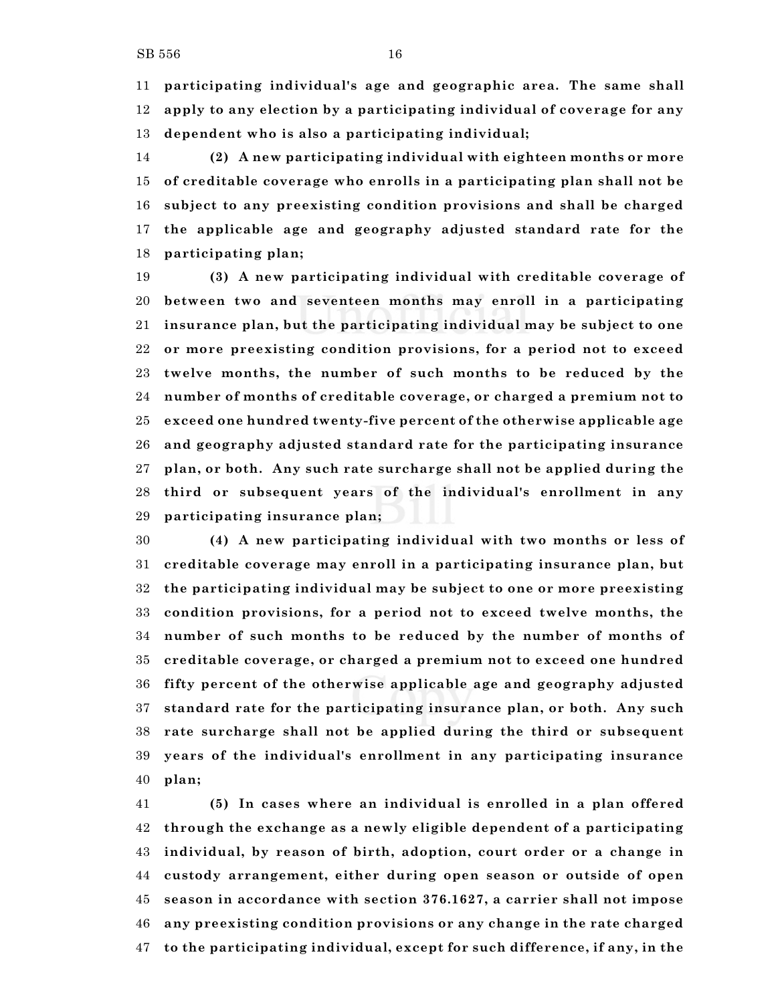**participating individual's age and geographic area. The same shall apply to any election by a participating individual of coverage for any dependent who is also a participating individual;**

 **(2) A new participating individual with eighteen months or more of creditable coverage who enrolls in a participating plan shall not be subject to any preexisting condition provisions and shall be charged the applicable age and geography adjusted standard rate for the participating plan;**

 **(3) A new participating individual with creditable coverage of between two and seventeen months may enroll in a participating insurance plan, but the participating individual may be subject to one or more preexisting condition provisions, for a period not to exceed twelve months, the number of such months to be reduced by the number of months of creditable coverage, or charged a premium not to exceed one hundred twenty-five percent of the otherwise applicable age and geography adjusted standard rate for the participating insurance plan, or both. Any such rate surcharge shall not be applied during the third or subsequent years of the individual's enrollment in any participating insurance plan;**

 **(4) A new participating individual with two months or less of creditable coverage may enroll in a participating insurance plan, but the participating individual may be subject to one or more preexisting condition provisions, for a period not to exceed twelve months, the number of such months to be reduced by the number of months of creditable coverage, or charged a premium not to exceed one hundred fifty percent of the otherwise applicable age and geography adjusted standard rate for the participating insurance plan, or both. Any such rate surcharge shall not be applied during the third or subsequent years of the individual's enrollment in any participating insurance plan;**

 **(5) In cases where an individual is enrolled in a plan offered through the exchange as a newly eligible dependent of a participating individual, by reason of birth, adoption, court order or a change in custody arrangement, either during open season or outside of open season in accordance with section 376.1627, a carrier shall not impose any preexisting condition provisions or any change in the rate charged to the participating individual, except for such difference, if any, in the**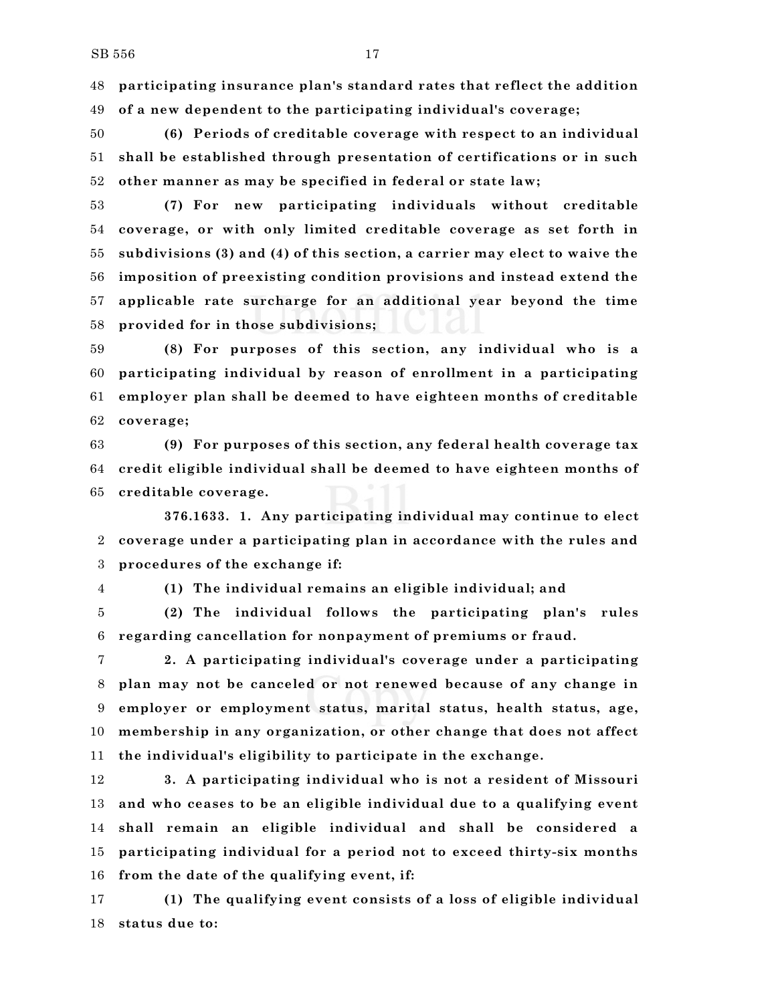**participating insurance plan's standard rates that reflect the addition of a new dependent to the participating individual's coverage;**

 **(6) Periods of creditable coverage with respect to an individual shall be established through presentation of certifications or in such other manner as may be specified in federal or state law;**

 **(7) For new participating individuals without creditable coverage, or with only limited creditable coverage as set forth in subdivisions (3) and (4) of this section, a carrier may elect to waive the imposition of preexisting condition provisions and instead extend the applicable rate surcharge for an additional year beyond the time provided for in those subdivisions;**

 **(8) For purposes of this section, any individual who is a participating individual by reason of enrollment in a participating employer plan shall be deemed to have eighteen months of creditable coverage;**

 **(9) For purposes of this section, any federal health coverage tax credit eligible individual shall be deemed to have eighteen months of creditable coverage.**

**376.1633. 1. Any participating individual may continue to elect coverage under a participating plan in accordance with the rules and procedures of the exchange if:**

**(1) The individual remains an eligible individual; and**

 **(2) The individual follows the participating plan's rules regarding cancellation for nonpayment of premiums or fraud.**

 **2. A participating individual's coverage under a participating plan may not be canceled or not renewed because of any change in employer or employment status, marital status, health status, age, membership in any organization, or other change that does not affect the individual's eligibility to participate in the exchange.**

 **3. A participating individual who is not a resident of Missouri and who ceases to be an eligible individual due to a qualifying event shall remain an eligible individual and shall be considered a participating individual for a period not to exceed thirty-six months from the date of the qualifying event, if:**

 **(1) The qualifying event consists of a loss of eligible individual status due to:**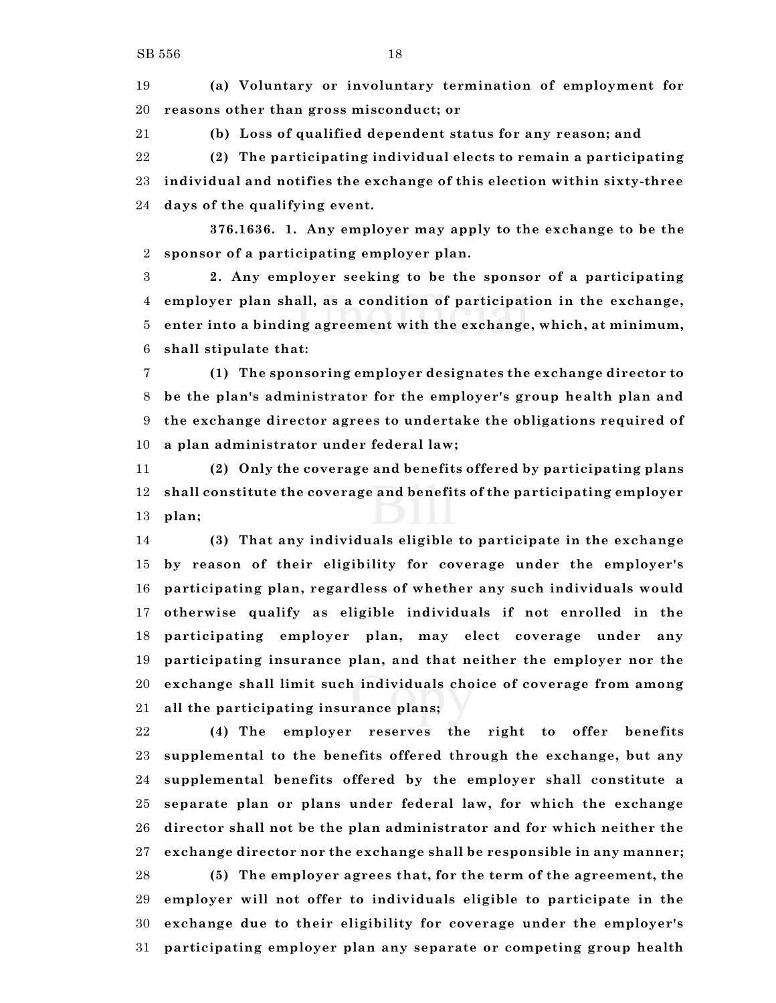**(a) Voluntary or involuntary termination of employment for reasons other than gross misconduct; or**

**(b) Loss of qualified dependent status for any reason; and**

 **(2) The participating individual elects to remain a participating individual and notifies the exchange of this election within sixty-three days of the qualifying event.**

**376.1636. 1. Any employer may apply to the exchange to be the sponsor of a participating employer plan.**

 **2. Any employer seeking to be the sponsor of a participating employer plan shall, as a condition of participation in the exchange, enter into a binding agreement with the exchange, which, at minimum, shall stipulate that:**

 **(1) The sponsoring employer designates the exchange director to be the plan's administrator for the employer's group health plan and the exchange director agrees to undertake the obligations required of a plan administrator under federal law;**

 **(2) Only the coverage and benefits offered by participating plans shall constitute the coverage and benefits of the participating employer plan;**

 **(3) That any individuals eligible to participate in the exchange by reason of their eligibility for coverage under the employer's participating plan, regardless of whether any such individuals would otherwise qualify as eligible individuals if not enrolled in the participating employer plan, may elect coverage under any participating insurance plan, and that neither the employer nor the exchange shall limit such individuals choice of coverage from among all the participating insurance plans;**

 **(4) The employer reserves the right to offer benefits supplemental to the benefits offered through the exchange, but any supplemental benefits offered by the employer shall constitute a separate plan or plans under federal law, for which the exchange director shall not be the plan administrator and for which neither the exchange director nor the exchange shall be responsible in any manner; (5) The employer agrees that, for the term of the agreement, the employer will not offer to individuals eligible to participate in the exchange due to their eligibility for coverage under the employer's participating employer plan any separate or competing group health**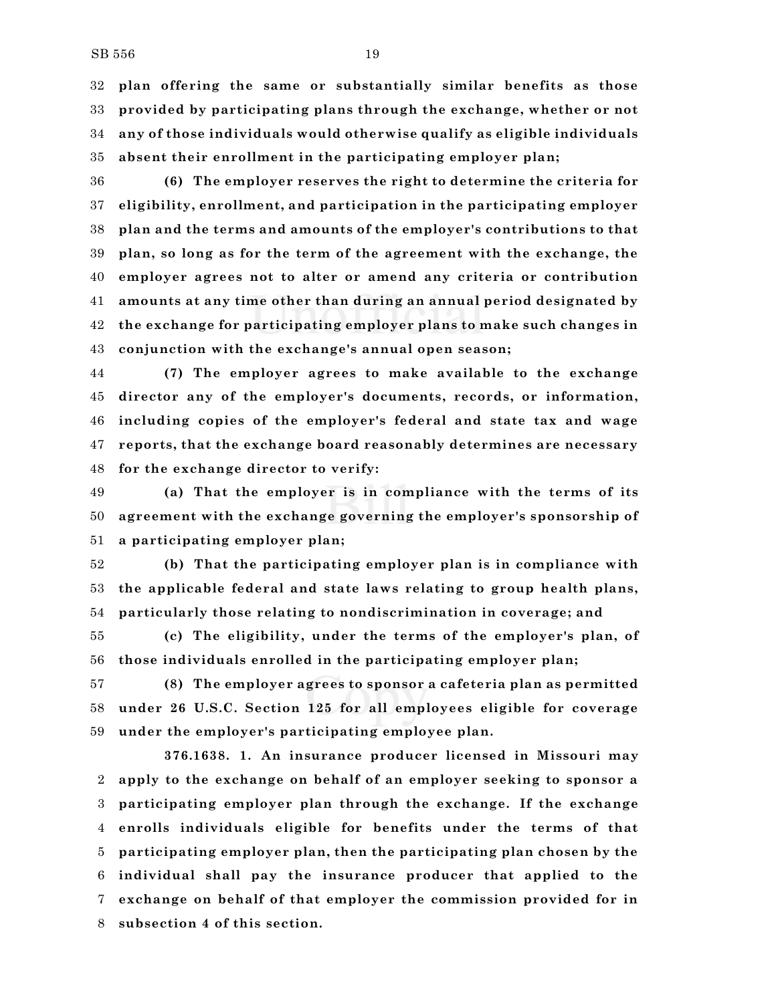**plan offering the same or substantially similar benefits as those provided by participating plans through the exchange, whether or not any of those individuals would otherwise qualify as eligible individuals absent their enrollment in the participating employer plan;**

 **(6) The employer reserves the right to determine the criteria for eligibility, enrollment, and participation in the participating employer plan and the terms and amounts of the employer's contributions to that plan, so long as for the term of the agreement with the exchange, the employer agrees not to alter or amend any criteria or contribution amounts at any time other than during an annual period designated by the exchange for participating employer plans to make such changes in conjunction with the exchange's annual open season;**

 **(7) The employer agrees to make available to the exchange director any of the employer's documents, records, or information, including copies of the employer's federal and state tax and wage reports, that the exchange board reasonably determines are necessary for the exchange director to verify:**

 **(a) That the employer is in compliance with the terms of its agreement with the exchange governing the employer's sponsorship of a participating employer plan;**

 **(b) That the participating employer plan is in compliance with the applicable federal and state laws relating to group health plans, particularly those relating to nondiscrimination in coverage; and**

 **(c) The eligibility, under the terms of the employer's plan, of those individuals enrolled in the participating employer plan;**

 **(8) The employer agrees to sponsor a cafeteria plan as permitted under 26 U.S.C. Section 125 for all employees eligible for coverage under the employer's participating employee plan.**

**376.1638. 1. An insurance producer licensed in Missouri may apply to the exchange on behalf of an employer seeking to sponsor a participating employer plan through the exchange. If the exchange enrolls individuals eligible for benefits under the terms of that participating employer plan, then the participating plan chosen by the individual shall pay the insurance producer that applied to the exchange on behalf of that employer the commission provided for in subsection 4 of this section.**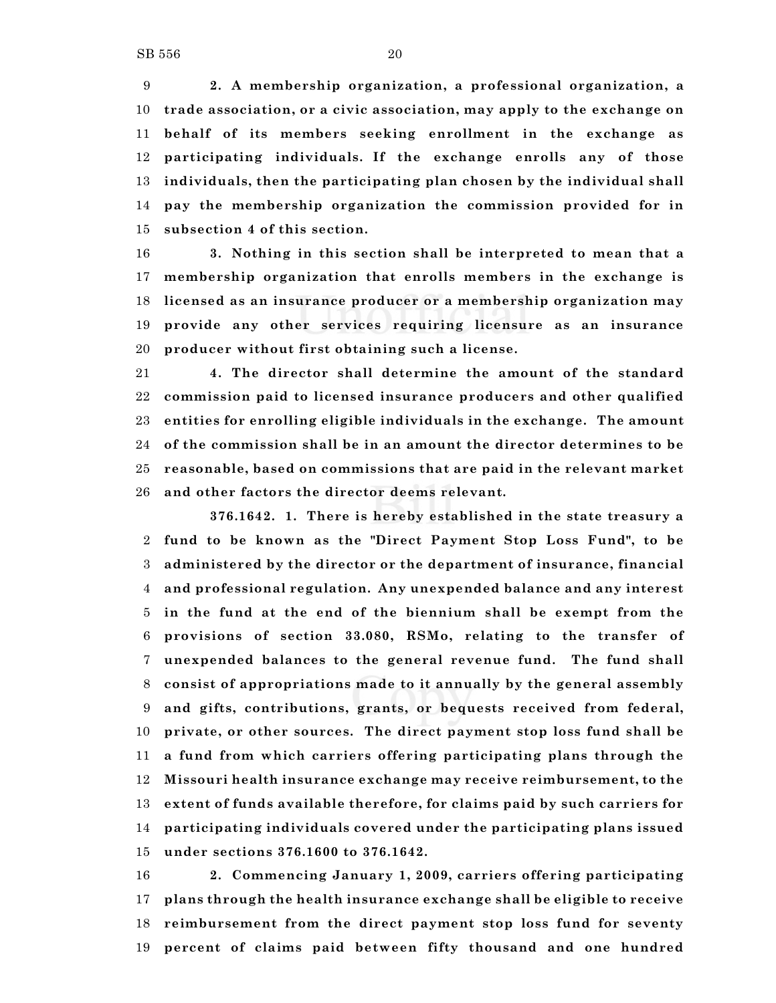**2. A membership organization, a professional organization, a trade association, or a civic association, may apply to the exchange on behalf of its members seeking enrollment in the exchange as participating individuals. If the exchange enrolls any of those individuals, then the participating plan chosen by the individual shall pay the membership organization the commission provided for in subsection 4 of this section.**

 **3. Nothing in this section shall be interpreted to mean that a membership organization that enrolls members in the exchange is licensed as an insurance producer or a membership organization may provide any other services requiring licensure as an insurance producer without first obtaining such a license.**

 **4. The director shall determine the amount of the standard commission paid to licensed insurance producers and other qualified entities for enrolling eligible individuals in the exchange. The amount of the commission shall be in an amount the director determines to be reasonable, based on commissions that are paid in the relevant market and other factors the director deems relevant.**

**376.1642. 1. There is hereby established in the state treasury a fund to be known as the "Direct Payment Stop Loss Fund", to be administered by the director or the department of insurance, financial and professional regulation. Any unexpended balance and any interest in the fund at the end of the biennium shall be exempt from the provisions of section 33.080, RSMo, relating to the transfer of unexpended balances to the general revenue fund. The fund shall consist of appropriations made to it annually by the general assembly and gifts, contributions, grants, or bequests received from federal, private, or other sources. The direct payment stop loss fund shall be a fund from which carriers offering participating plans through the Missouri health insurance exchange may receive reimbursement, to the extent of funds available therefore, for claims paid by such carriers for participating individuals covered under the participating plans issued under sections 376.1600 to 376.1642.**

 **2. Commencing January 1, 2009, carriers offering participating plans through the health insurance exchange shall be eligible to receive reimbursement from the direct payment stop loss fund for seventy percent of claims paid between fifty thousand and one hundred**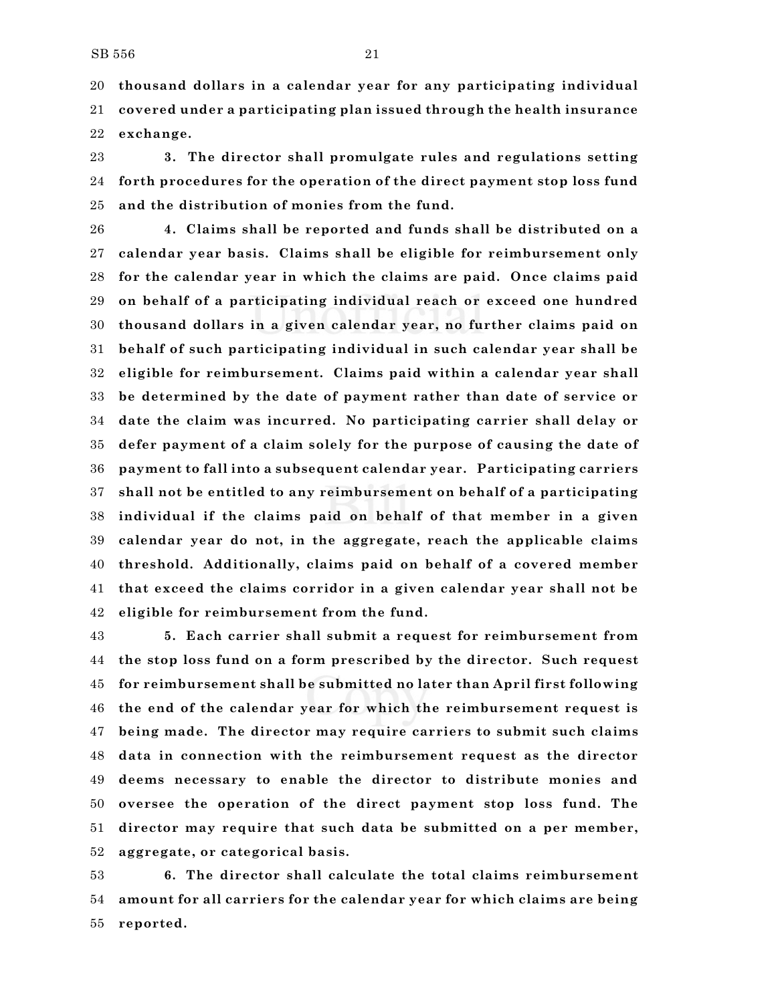**thousand dollars in a calendar year for any participating individual covered under a participating plan issued through the health insurance exchange.**

 **3. The director shall promulgate rules and regulations setting forth procedures for the operation of the direct payment stop loss fund and the distribution of monies from the fund.**

 **4. Claims shall be reported and funds shall be distributed on a calendar year basis. Claims shall be eligible for reimbursement only for the calendar year in which the claims are paid. Once claims paid on behalf of a participating individual reach or exceed one hundred thousand dollars in a given calendar year, no further claims paid on behalf of such participating individual in such calendar year shall be eligible for reimbursement. Claims paid within a calendar year shall be determined by the date of payment rather than date of service or date the claim was incurred. No participating carrier shall delay or defer payment of a claim solely for the purpose of causing the date of payment to fall into a subsequent calendar year. Participating carriers shall not be entitled to any reimbursement on behalf of a participating individual if the claims paid on behalf of that member in a given calendar year do not, in the aggregate, reach the applicable claims threshold. Additionally, claims paid on behalf of a covered member that exceed the claims corridor in a given calendar year shall not be eligible for reimbursement from the fund.**

 **5. Each carrier shall submit a request for reimbursement from the stop loss fund on a form prescribed by the director. Such request for reimbursement shall be submitted no later than April first following the end of the calendar year for which the reimbursement request is being made. The director may require carriers to submit such claims data in connection with the reimbursement request as the director deems necessary to enable the director to distribute monies and oversee the operation of the direct payment stop loss fund. The director may require that such data be submitted on a per member, aggregate, or categorical basis.**

 **6. The director shall calculate the total claims reimbursement amount for all carriers for the calendar year for which claims are being reported.**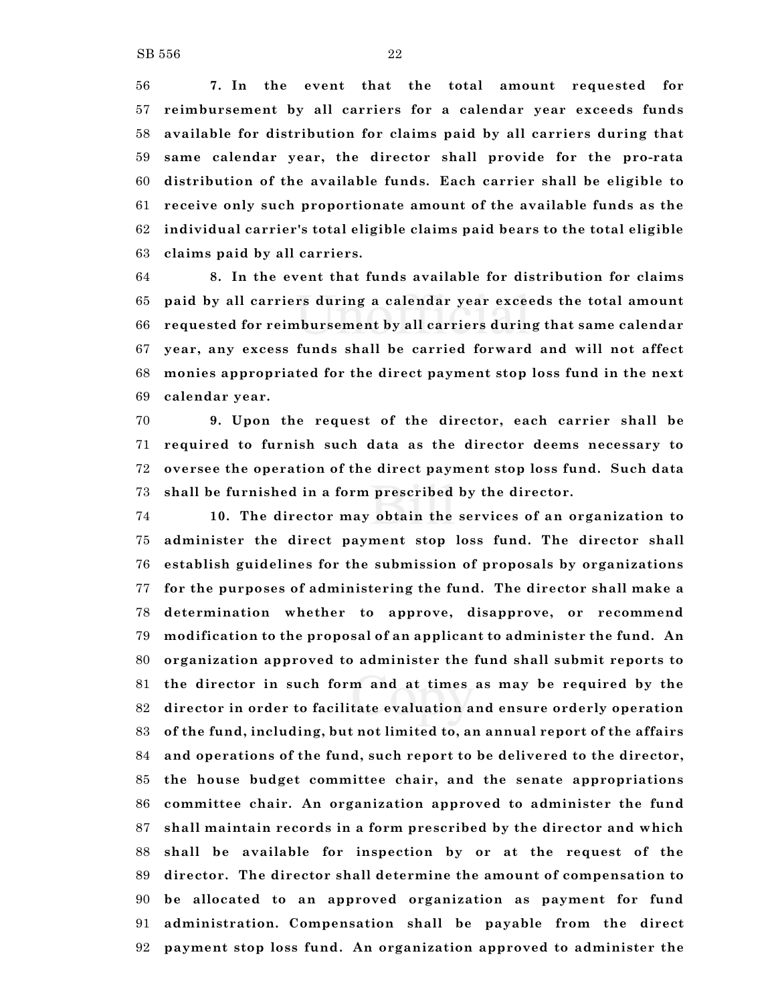**7. In the event that the total amount requested for reimbursement by all carriers for a calendar year exceeds funds available for distribution for claims paid by all carriers during that same calendar year, the director shall provide for the pro-rata**

 **distribution of the available funds. Each carrier shall be eligible to receive only such proportionate amount of the available funds as the individual carrier's total eligible claims paid bears to the total eligible claims paid by all carriers.**

 **8. In the event that funds available for distribution for claims paid by all carriers during a calendar year exceeds the total amount requested for reimbursement by all carriers during that same calendar year, any excess funds shall be carried forward and will not affect monies appropriated for the direct payment stop loss fund in the next calendar year.**

 **9. Upon the request of the director, each carrier shall be required to furnish such data as the director deems necessary to oversee the operation of the direct payment stop loss fund. Such data shall be furnished in a form prescribed by the director.**

 **10. The director may obtain the services of an organization to administer the direct payment stop loss fund. The director shall establish guidelines for the submission of proposals by organizations for the purposes of administering the fund. The director shall make a determination whether to approve, disapprove, or recommend modification to the proposal of an applicant to administer the fund. An organization approved to administer the fund shall submit reports to the director in such form and at times as may be required by the director in order to facilitate evaluation and ensure orderly operation of the fund, including, but not limited to, an annual report of the affairs and operations of the fund, such report to be delivered to the director, the house budget committee chair, and the senate appropriations committee chair. An organization approved to administer the fund shall maintain records in a form prescribed by the director and which shall be available for inspection by or at the request of the director. The director shall determine the amount of compensation to be allocated to an approved organization as payment for fund administration. Compensation shall be payable from the direct payment stop loss fund. An organization approved to administer the**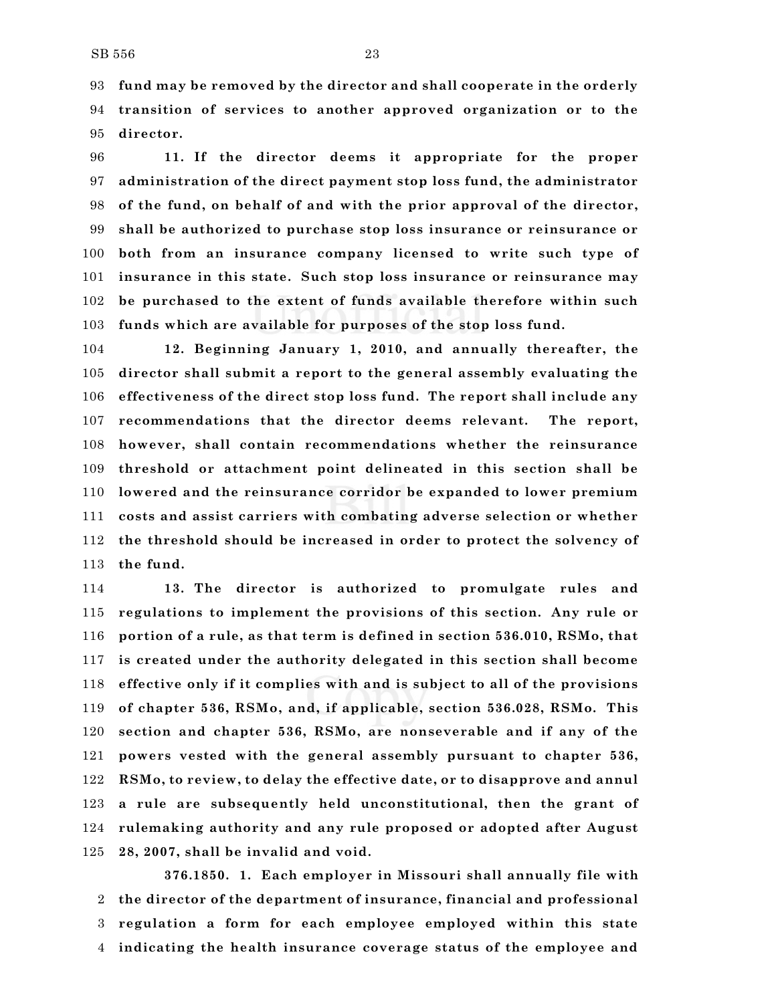**fund may be removed by the director and shall cooperate in the orderly transition of services to another approved organization or to the director.**

 **11. If the director deems it appropriate for the proper administration of the direct payment stop loss fund, the administrator of the fund, on behalf of and with the prior approval of the director, shall be authorized to purchase stop loss insurance or reinsurance or both from an insurance company licensed to write such type of insurance in this state. Such stop loss insurance or reinsurance may be purchased to the extent of funds available therefore within such funds which are available for purposes of the stop loss fund.**

 **12. Beginning January 1, 2010, and annually thereafter, the director shall submit a report to the general assembly evaluating the effectiveness of the direct stop loss fund. The report shall include any recommendations that the director deems relevant. The report, however, shall contain recommendations whether the reinsurance threshold or attachment point delineated in this section shall be lowered and the reinsurance corridor be expanded to lower premium costs and assist carriers with combating adverse selection or whether the threshold should be increased in order to protect the solvency of the fund.**

 **13. The director is authorized to promulgate rules and regulations to implement the provisions of this section. Any rule or portion of a rule, as that term is defined in section 536.010, RSMo, that is created under the authority delegated in this section shall become effective only if it complies with and is subject to all of the provisions of chapter 536, RSMo, and, if applicable, section 536.028, RSMo. This section and chapter 536, RSMo, are nonseverable and if any of the powers vested with the general assembly pursuant to chapter 536, RSMo, to review, to delay the effective date, or to disapprove and annul a rule are subsequently held unconstitutional, then the grant of rulemaking authority and any rule proposed or adopted after August 28, 2007, shall be invalid and void.**

**376.1850. 1. Each employer in Missouri shall annually file with the director of the department of insurance, financial and professional regulation a form for each employee employed within this state indicating the health insurance coverage status of the employee and**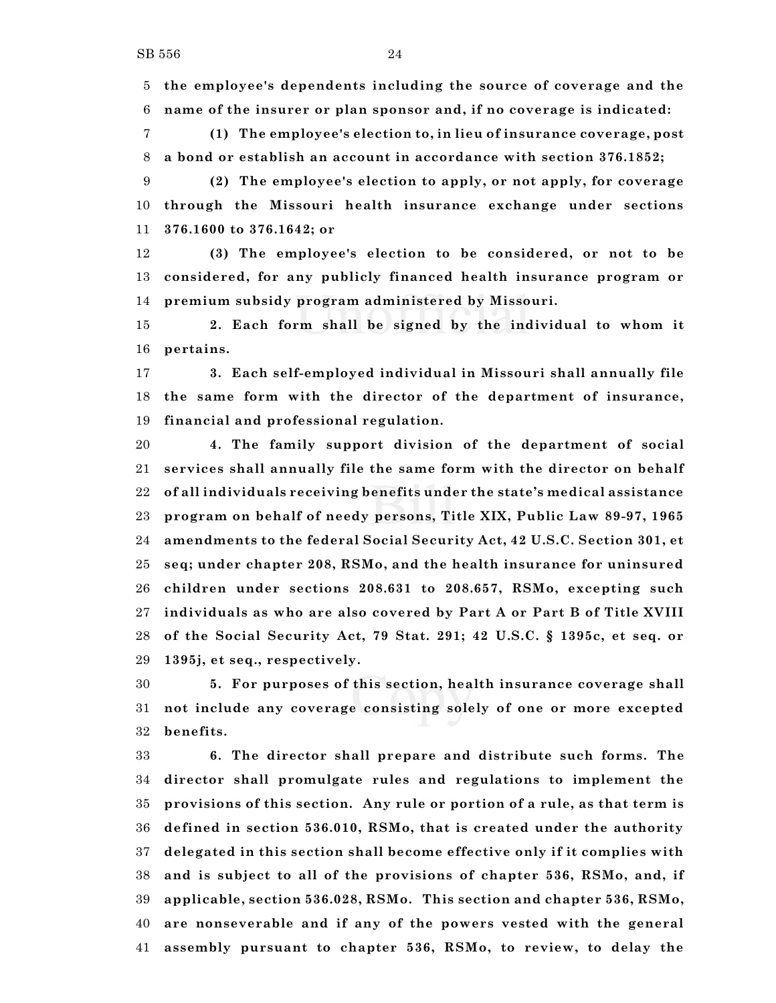**the employee's dependents including the source of coverage and the name of the insurer or plan sponsor and, if no coverage is indicated:**

 **(1) The employee's election to, in lieu of insurance coverage, post a bond or establish an account in accordance with section 376.1852;**

 **(2) The employee's election to apply, or not apply, for coverage through the Missouri health insurance exchange under sections 376.1600 to 376.1642; or**

 **(3) The employee's election to be considered, or not to be considered, for any publicly financed health insurance program or premium subsidy program administered by Missouri.**

 **2. Each form shall be signed by the individual to whom it pertains.**

 **3. Each self-employed individual in Missouri shall annually file the same form with the director of the department of insurance, financial and professional regulation.**

 **4. The family support division of the department of social services shall annually file the same form with the director on behalf of all individuals receiving benefits under the state's medical assistance program on behalf of needy persons, Title XIX, Public Law 89-97, 1965 amendments to the federal Social Security Act, 42 U.S.C. Section 301, et seq; under chapter 208, RSMo, and the health insurance for uninsured children under sections 208.631 to 208.657, RSMo, excepting such individuals as who are also covered by Part A or Part B of Title XVIII of the Social Security Act, 79 Stat. 291; 42 U.S.C. § 1395c, et seq. or 1395j, et seq., respectively.**

 **5. For purposes of this section, health insurance coverage shall not include any coverage consisting solely of one or more excepted benefits.**

 **6. The director shall prepare and distribute such forms. The director shall promulgate rules and regulations to implement the provisions of this section. Any rule or portion of a rule, as that term is defined in section 536.010, RSMo, that is created under the authority delegated in this section shall become effective only if it complies with and is subject to all of the provisions of chapter 536, RSMo, and, if applicable, section 536.028, RSMo. This section and chapter 536, RSMo, are nonseverable and if any of the powers vested with the general assembly pursuant to chapter 536, RSMo, to review, to delay the**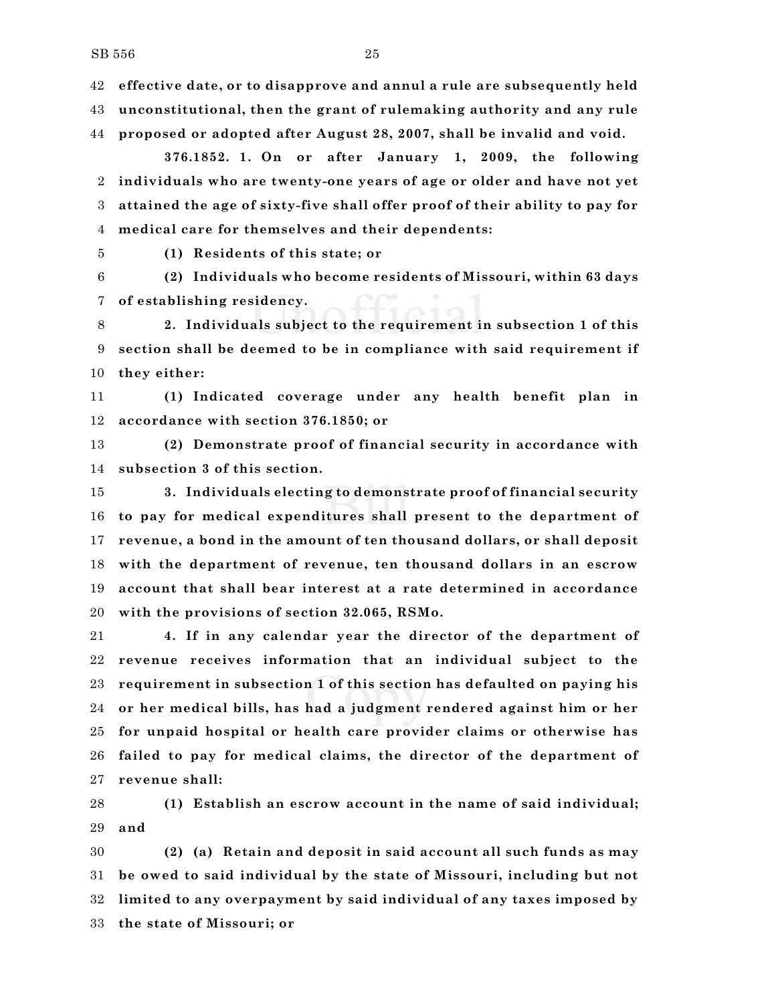**effective date, or to disapprove and annul a rule are subsequently held unconstitutional, then the grant of rulemaking authority and any rule**

**proposed or adopted after August 28, 2007, shall be invalid and void.**

**376.1852. 1. On or after January 1, 2009, the following individuals who are twenty-one years of age or older and have not yet attained the age of sixty-five shall offer proof of their ability to pay for medical care for themselves and their dependents:**

**(1) Residents of this state; or**

 **(2) Individuals who become residents of Missouri, within 63 days of establishing residency.**

 **2. Individuals subject to the requirement in subsection 1 of this section shall be deemed to be in compliance with said requirement if they either:**

 **(1) Indicated coverage under any health benefit plan in accordance with section 376.1850; or**

 **(2) Demonstrate proof of financial security in accordance with subsection 3 of this section.**

 **3. Individuals electing to demonstrate proof of financial security to pay for medical expenditures shall present to the department of revenue, a bond in the amount of ten thousand dollars, or shall deposit with the department of revenue, ten thousand dollars in an escrow account that shall bear interest at a rate determined in accordance with the provisions of section 32.065, RSMo.**

 **4. If in any calendar year the director of the department of revenue receives information that an individual subject to the requirement in subsection 1 of this section has defaulted on paying his or her medical bills, has had a judgment rendered against him or her for unpaid hospital or health care provider claims or otherwise has failed to pay for medical claims, the director of the department of revenue shall:**

 **(1) Establish an escrow account in the name of said individual; and**

 **(2) (a) Retain and deposit in said account all such funds as may be owed to said individual by the state of Missouri, including but not limited to any overpayment by said individual of any taxes imposed by the state of Missouri; or**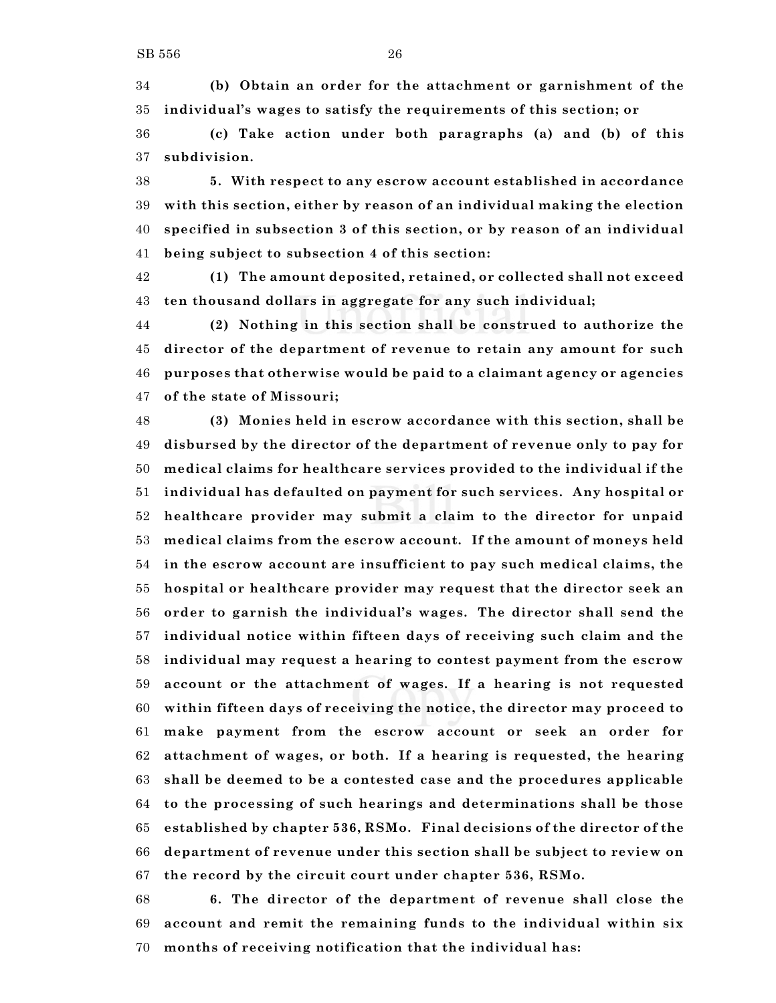**(b) Obtain an order for the attachment or garnishment of the individual's wages to satisfy the requirements of this section; or**

 **(c) Take action under both paragraphs (a) and (b) of this subdivision.**

 **5. With respect to any escrow account established in accordance with this section, either by reason of an individual making the election specified in subsection 3 of this section, or by reason of an individual being subject to subsection 4 of this section:**

 **(1) The amount deposited, retained, or collected shall not exceed ten thousand dollars in aggregate for any such individual;**

 **(2) Nothing in this section shall be construed to authorize the director of the department of revenue to retain any amount for such purposes that otherwise would be paid to a claimant agency or agencies of the state of Missouri;**

 **(3) Monies held in escrow accordance with this section, shall be disbursed by the director of the department of revenue only to pay for medical claims for healthcare services provided to the individual if the individual has defaulted on payment for such services. Any hospital or healthcare provider may submit a claim to the director for unpaid medical claims from the escrow account. If the amount of moneys held in the escrow account are insufficient to pay such medical claims, the hospital or healthcare provider may request that the director seek an order to garnish the individual's wages. The director shall send the individual notice within fifteen days of receiving such claim and the individual may request a hearing to contest payment from the escrow account or the attachment of wages. If a hearing is not requested within fifteen days of receiving the notice, the director may proceed to make payment from the escrow account or seek an order for attachment of wages, or both. If a hearing is requested, the hearing shall be deemed to be a contested case and the procedures applicable to the processing of such hearings and determinations shall be those established by chapter 536, RSMo. Final decisions of the director of the department of revenue under this section shall be subject to review on the record by the circuit court under chapter 536, RSMo.**

 **6. The director of the department of revenue shall close the account and remit the remaining funds to the individual within six months of receiving notification that the individual has:**